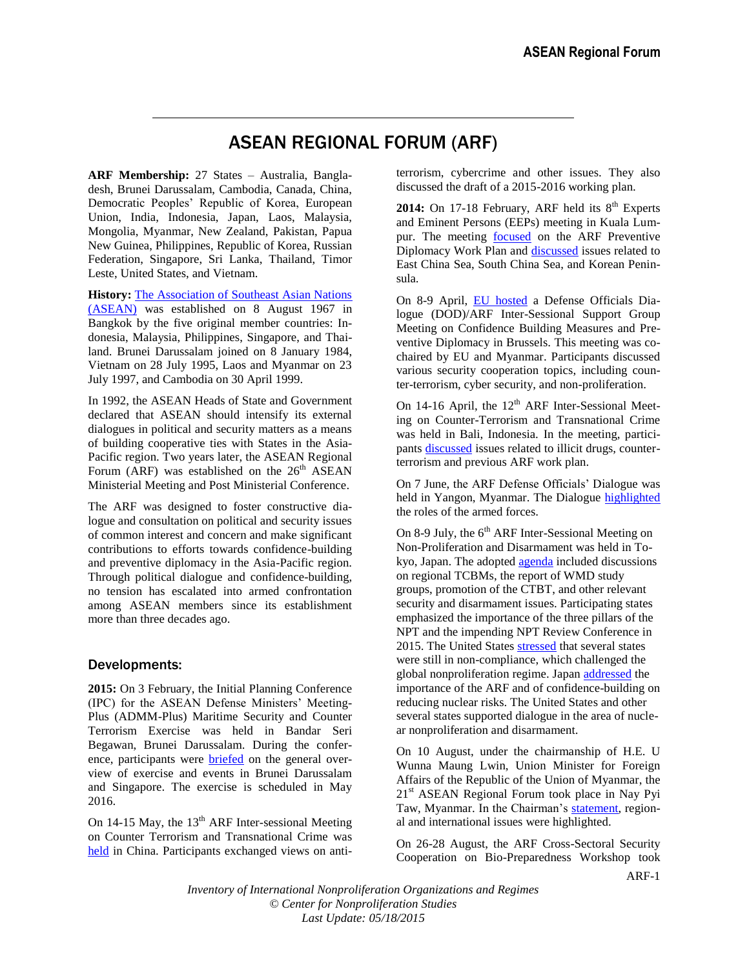## ASEAN REGIONAL FORUM (ARF)

**ARF Membership:** 27 States – Australia, Bangladesh, Brunei Darussalam, Cambodia, Canada, China, Democratic Peoples' Republic of Korea, European Union, India, Indonesia, Japan, Laos, Malaysia, Mongolia, Myanmar, New Zealand, Pakistan, Papua New Guinea, Philippines, Republic of Korea, Russian Federation, Singapore, Sri Lanka, Thailand, Timor Leste, United States, and Vietnam.

**History:** [The Association of Southeast Asian Nations](asean.pdf)  [\(ASEAN\)](asean.pdf) was established on 8 August 1967 in Bangkok by the five original member countries: Indonesia, Malaysia, Philippines, Singapore, and Thailand. Brunei Darussalam joined on 8 January 1984, Vietnam on 28 July 1995, Laos and Myanmar on 23 July 1997, and Cambodia on 30 April 1999.

In 1992, the ASEAN Heads of State and Government declared that ASEAN should intensify its external dialogues in political and security matters as a means of building cooperative ties with States in the Asia-Pacific region. Two years later, the ASEAN Regional Forum (ARF) was established on the  $26<sup>th</sup>$  ASEAN Ministerial Meeting and Post Ministerial Conference.

The ARF was designed to foster constructive dialogue and consultation on political and security issues of common interest and concern and make significant contributions to efforts towards confidence-building and preventive diplomacy in the Asia-Pacific region. Through political dialogue and confidence-building, no tension has escalated into armed confrontation among ASEAN members since its establishment more than three decades ago.

## Developments:

**2015:** On 3 February, the Initial Planning Conference (IPC) for the ASEAN Defense Ministers' Meeting-Plus (ADMM-Plus) Maritime Security and Counter Terrorism Exercise was held in Bandar Seri Begawan, Brunei Darussalam. During the conference, participants were [briefed](http://pacificsentinel.blogspot.com/2015/02/brunei-ipc-for-admm-plus-maritime.html) on the general overview of exercise and events in Brunei Darussalam and Singapore. The exercise is scheduled in May 2016.

On 14-15 May, the  $13<sup>th</sup>$  ARF Inter-sessional Meeting on Counter Terrorism and Transnational Crime was [held](http://news.xinhuanet.com/english/2015-05/14/c_134239695.htm) in China. Participants exchanged views on antiterrorism, cybercrime and other issues. They also discussed the draft of a 2015-2016 working plan.

2014: On 17-18 February, ARF held its 8<sup>th</sup> Experts and Eminent Persons (EEPs) meeting in Kuala Lumpur. The meeting [focused](http://aseanregionalforum.asean.org/files/library/ARF%20Chairman) on the ARF Preventive Diplomacy Work Plan and [discussed](http://aseanregionalforum.asean.org/files/library/ARF%20Chairman) issues related to East China Sea, South China Sea, and Korean Peninsula.

On 8-9 April, [EU hosted](http://eeas.europa.eu/asean/news/level_meetings_en.htm) a Defense Officials Dialogue (DOD)/ARF Inter-Sessional Support Group Meeting on Confidence Building Measures and Preventive Diplomacy in Brussels. This meeting was cochaired by EU and Myanmar. Participants discussed various security cooperation topics, including counter-terrorism, cyber security, and non-proliferation.

On 14-16 April, the  $12<sup>th</sup>$  ARF Inter-Sessional Meeting on Counter-Terrorism and Transnational Crime was held in Bali, Indonesia. In the meeting, participants [discussed](http://aseanregionalforum.asean.org/files/library/ARF%20Chairman) issues related to illicit drugs, counterterrorism and previous ARF work plan.

On 7 June, the ARF Defense Officials' Dialogue was held in Yangon, Myanmar. The Dialogue [highlighted](http://aseanregionalforum.asean.org/files/library/ARF%20Chairman) the roles of the armed forces.

On 8-9 July, the  $6<sup>th</sup>$  ARF Inter-Sessional Meeting on Non-Proliferation and Disarmament was held in Tokyo, Japan. The adopted [agenda](http://aseanregionalforum.asean.org/files/library/ARF%20Chairman) included discussions on regional TCBMs, the report of WMD study groups, promotion of the CTBT, and other relevant security and disarmament issues. Participating states emphasized the importance of the three pillars of the NPT and the impending NPT Review Conference in 2015. The United States [stressed](http://aseanregionalforum.asean.org/files/library/ARF%20Chairman) that several states were still in non-compliance, which challenged the global nonproliferation regime. Japan [addressed](http://aseanregionalforum.asean.org/files/library/ARF%20Chairman) the importance of the ARF and of confidence-building on reducing nuclear risks. The United States and other several states supported dialogue in the area of nuclear nonproliferation and disarmament.

On 10 August, under the chairmanship of H.E. U Wunna Maung Lwin, Union Minister for Foreign Affairs of the Republic of the Union of Myanmar, the 21<sup>st</sup> ASEAN Regional Forum took place in Nay Pyi Taw, Myanmar. In the Chairman's [statement,](http://aseanregionalforum.asean.org/files/library/ARF%20Chairman) regional and international issues were highlighted.

On 26-28 August, the ARF Cross-Sectoral Security Cooperation on Bio-Preparedness Workshop took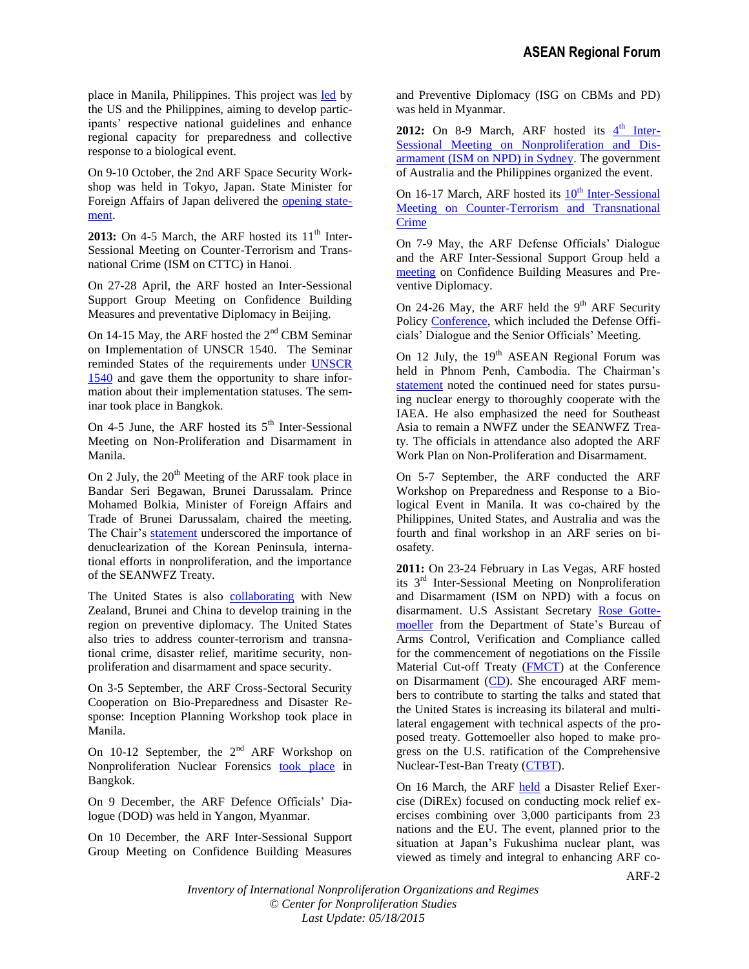place in Manila, Philippines. This project was [led](http://www.state.gov/r/pa/prs/ps/2014/230479.htm) by the US and the Philippines, aiming to develop participants' respective national guidelines and enhance regional capacity for preparedness and collective response to a biological event.

On 9-10 October, the 2nd ARF Space Security Workshop was held in Tokyo, Japan. State Minister for Foreign Affairs of Japan delivered the [opening state](http://www.mofa.go.jp/files/000055241.pdf)[ment.](http://www.mofa.go.jp/files/000055241.pdf)

2013: On 4-5 March, the ARF hosted its 11<sup>th</sup> Inter-Sessional Meeting on Counter-Terrorism and Transnational Crime (ISM on CTTC) in Hanoi.

On 27-28 April, the ARF hosted an Inter-Sessional Support Group Meeting on Confidence Building Measures and preventative Diplomacy in Beijing.

On 14-15 May, the ARF hosted the  $2<sup>nd</sup>$  CBM Seminar on Implementation of UNSCR 1540. The Seminar reminded States of the requirements under [UNSCR](http://www.un.org/ga/search/view_doc.asp?symbol=S/RES/1540(2004))  [1540](http://www.un.org/ga/search/view_doc.asp?symbol=S/RES/1540(2004)) and gave them the opportunity to share information about their implementation statuses. The seminar took place in Bangkok.

On 4-5 June, the ARF hosted its  $5<sup>th</sup>$  Inter-Sessional Meeting on Non-Proliferation and Disarmament in Manila.

On 2 July, the  $20<sup>th</sup>$  Meeting of the ARF took place in Bandar Seri Begawan, Brunei Darussalam. Prince Mohamed Bolkia, Minister of Foreign Affairs and Trade of Brunei Darussalam, chaired the meeting. The Chair's [statement](http://www.asean.org/images/2013/news/joint%20communique%20of%20the%2046th%20asean%20foreign%20ministers%20meeting%2046th%20amm%20-%20final%20-%2030%20june%202013.pdf) underscored the importance of denuclearization of the Korean Peninsula, international efforts in nonproliferation, and the importance of the SEANWFZ Treaty.

The United States is also [collaborating](http://www.state.gov/r/pa/prs/ps/2013/07/211467.htm) with New Zealand, Brunei and China to develop training in the region on preventive diplomacy. The United States also tries to address counter-terrorism and transnational crime, disaster relief, maritime security, nonproliferation and disarmament and space security.

On 3-5 September, the ARF Cross-Sectoral Security Cooperation on Bio-Preparedness and Disaster Response: Inception Planning Workshop took place in Manila.

On 10-12 September, the  $2<sup>nd</sup>$  ARF Workshop on Nonproliferation Nuclear Forensics took [place](http://aseanregionalforum.asean.org/events.html) in Bangkok.

On 9 December, the ARF Defence Officials' Dialogue (DOD) was held in Yangon, Myanmar.

On 10 December, the ARF Inter-Sessional Support Group Meeting on Confidence Building Measures and Preventive Diplomacy (ISG on CBMs and PD) was held in Myanmar.

2012: On 8-9 March, ARF hosted its  $4<sup>th</sup>$  [Inter-](http://aseanregionalforum.asean.org/events.html)[Sessional Meeting on Nonproliferation and Dis](http://aseanregionalforum.asean.org/events.html)[armament \(ISM on NPD\) in Sydney.](http://aseanregionalforum.asean.org/events.html) The government of Australia and the Philippines organized the event.

On 16-17 March, ARF hosted its  $10<sup>th</sup>$  [Inter-Sessional](http://aseanregionalforum.asean.org/files/library/ARF%20Chairman) Meeting on [Counter-Terrorism and Transnational](http://aseanregionalforum.asean.org/files/library/ARF%20Chairman)  [Crime](http://aseanregionalforum.asean.org/files/library/ARF%20Chairman)

On 7-9 May, the ARF Defense Officials' Dialogue and the ARF Inter-Sessional Support Group held a [meeting](http://aseanregionalforum.asean.org/files/library/ARF%20Chairman) on Confidence Building Measures and Preventive Diplomacy.

On 24-26 May, the ARF held the  $9<sup>th</sup>$  ARF Security Policy [Conference,](http://aseanregionalforum.asean.org/files/library/ARF%20Chairman) which included the Defense Officials' Dialogue and the Senior Officials' Meeting.

On 12 July, the  $19<sup>th</sup>$  ASEAN Regional Forum was held in Phnom Penh, Cambodia. The Chairman's [statement](http://aseanregionalforum.asean.org/files/library/ARF%20Chairman) noted the continued need for states pursuing nuclear energy to thoroughly cooperate with the IAEA. He also emphasized the need for Southeast Asia to remain a NWFZ under the SEANWFZ Treaty. The officials in attendance also adopted the ARF Work Plan on Non-Proliferation and Disarmament.

On 5-7 September, the ARF conducted the ARF Workshop on Preparedness and Response to a Biological Event in Manila. It was co-chaired by the Philippines, United States, and Australia and was the fourth and final workshop in an ARF series on biosafety.

**2011:** On 23-24 February in Las Vegas, ARF hosted its  $3<sup>rd</sup>$  Inter-Sessional Meeting on Nonproliferation and Disarmament (ISM on NPD) with a focus on disarmament. U.S Assistant Secretary [Rose Gotte](http://www.state.gov/t/avc/rls/156973.htm)[moeller](http://www.state.gov/t/avc/rls/156973.htm) from the Department of State's Bureau of Arms Control, Verification and Compliance called for the commencement of negotiations on the Fissile Material Cut-off Treaty [\(FMCT\)](cd_FMCT.pdf) at the Conference on Disarmament [\(CD\)](cd.pdf). She encouraged ARF members to contribute to starting the talks and stated that the United States is increasing its bilateral and multilateral engagement with technical aspects of the proposed treaty. Gottemoeller also hoped to make progress on the U.S. ratification of the Comprehensive Nuclear-Test-Ban Treaty [\(CTBT\)](ctbt.pdf).

On 16 March, the ARF [held](http://www.asean.org/26032.htm) a Disaster Relief Exercise (DiREx) focused on conducting mock relief exercises combining over 3,000 participants from 23 nations and the EU. The event, planned prior to the situation at Japan's Fukushima nuclear plant, was viewed as timely and integral to enhancing ARF co-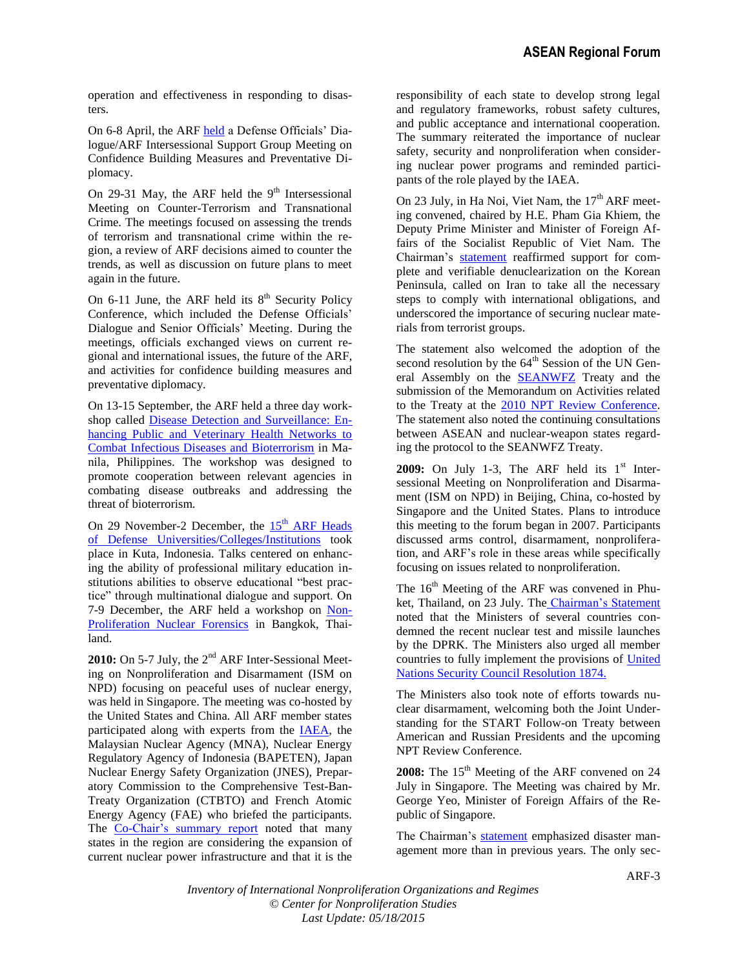operation and effectiveness in responding to disasters.

On 6-8 April, the ARF [held](http://www.aseanregionalforum.org/Calendar/tabid/172/Default.aspx) a Defense Officials' Dialogue/ARF Intersessional Support Group Meeting on Confidence Building Measures and Preventative Diplomacy.

On 29-31 May, the ARF held the  $9<sup>th</sup>$  Intersessional Meeting on Counter-Terrorism and Transnational Crime. The meetings focused on assessing the trends of terrorism and transnational crime within the region, a review of ARF decisions aimed to counter the trends, as well as discussion on future plans to meet again in the future.

On 6-11 June, the ARF held its  $8<sup>th</sup>$  Security Policy Conference, which included the Defense Officials' Dialogue and Senior Officials' Meeting. During the meetings, officials exchanged views on current regional and international issues, the future of the ARF, and activities for confidence building measures and preventative diplomacy.

On 13-15 September, the ARF held a three day workshop called [Disease Detection and Surveillance: En](http://dfa.gov.ph/main/index.php/newsroom/dfa-releases/3719-arf-holds-disease-detection-workshop-in-manila)[hancing Public and Veterinary Health Networks to](http://dfa.gov.ph/main/index.php/newsroom/dfa-releases/3719-arf-holds-disease-detection-workshop-in-manila)  [Combat Infectious Diseases and Bioterrorism](http://dfa.gov.ph/main/index.php/newsroom/dfa-releases/3719-arf-holds-disease-detection-workshop-in-manila) in Manila, Philippines. The workshop was designed to promote cooperation between relevant agencies in combating disease outbreaks and addressing the threat of bioterrorism.

On 29 November-2 December, the  $15<sup>th</sup>$  ARF Heads [of Defense Universities/Colleges/Institutions](http://www.mindef.gov.bn/MOD2/index.php?option=com_content&view=article&id=1187:15th-arf-heads-of-defence-universities--colleges--institutions-meeting-arf-hducim&catid=1:news&Itemid=92) took place in Kuta, Indonesia. Talks centered on enhancing the ability of professional military education institutions abilities to observe educational "best practice" through multinational dialogue and support. On 7-9 December, the ARF held a workshop on [Non-](http://aseanregionalforum.asean.org/events.html)[Proliferation Nuclear Forensics](http://aseanregionalforum.asean.org/events.html) in Bangkok, Thailand.

2010: On 5-7 July, the 2<sup>nd</sup> ARF Inter-Sessional Meeting on Nonproliferation and Disarmament (ISM on NPD) focusing on peaceful uses of nuclear energy, was held in Singapore. The meeting was co-hosted by the United States and China. All ARF member states participated along with experts from the [IAEA,](iaea_overview.pdf) the Malaysian Nuclear Agency (MNA), Nuclear Energy Regulatory Agency of Indonesia (BAPETEN), Japan Nuclear Energy Safety Organization (JNES), Preparatory Commission to the Comprehensive Test-Ban-Treaty Organization (CTBTO) and French Atomic Energy Agency (FAE) who briefed the participants. The [Co-Chair's summary report](http://www.aseanregionalforum.org/LinkClick.aspx?fileticket=yWVgyNe%2FCYU%3D&tabid=66&mid=1106.) noted that many states in the region are considering the expansion of current nuclear power infrastructure and that it is the responsibility of each state to develop strong legal and regulatory frameworks, robust safety cultures, and public acceptance and international cooperation. The summary reiterated the importance of nuclear safety, security and nonproliferation when considering nuclear power programs and reminded participants of the role played by the IAEA.

On 23 July, in Ha Noi, Viet Nam, the  $17<sup>th</sup>$  ARF meeting convened, chaired by H.E. Pham Gia Khiem, the Deputy Prime Minister and Minister of Foreign Affairs of the Socialist Republic of Viet Nam. The Chairman's [statement](http://www.aseansec.org/24929.htm) reaffirmed support for complete and verifiable denuclearization on the Korean Peninsula, called on Iran to take all the necessary steps to comply with international obligations, and underscored the importance of securing nuclear materials from terrorist groups.

The statement also welcomed the adoption of the second resolution by the 64<sup>th</sup> Session of the UN General Assembly on the **[SEANWFZ](seanwfz.pdf)** Treaty and the submission of the Memorandum on Activities related to the Treaty at the [2010 NPT Review Conference.](../../pdf/npt2010fd.pdf) The statement also noted the continuing consultations between ASEAN and nuclear-weapon states regarding the protocol to the SEANWFZ Treaty.

**2009:** On July 1-3, The ARF held its  $1<sup>st</sup>$  Intersessional Meeting on Nonproliferation and Disarmament (ISM on NPD) in Beijing, China, co-hosted by Singapore and the United States. Plans to introduce this meeting to the forum began in 2007. Participants discussed arms control, disarmament, nonproliferation, and ARF's role in these areas while specifically focusing on issues related to nonproliferation.

The  $16<sup>th</sup>$  Meeting of the ARF was convened in Phuket, Thailand, on 23 July. The [Chairman's Statement](http://www.aseansec.org/PR-42AMM-Chairman-Statement-16ARF.pdf) noted that the Ministers of several countries condemned the recent nuclear test and missile launches by the DPRK. The Ministers also urged all member countries to fully implement the provisions of [United](http://www.un.org/News/Press/docs/2009/sc9679.doc.htm)  [Nations Security Council Resolution 1874.](http://www.un.org/News/Press/docs/2009/sc9679.doc.htm) 

The Ministers also took note of efforts towards nuclear disarmament, welcoming both the Joint Understanding for the START Follow-on Treaty between American and Russian Presidents and the upcoming NPT Review Conference.

2008: The 15<sup>th</sup> Meeting of the ARF convened on 24 July in Singapore. The Meeting was chaired by Mr. George Yeo, Minister of Foreign Affairs of the Republic of Singapore.

The Chairman's [statement](http://www.aseanregionalforum.org/LinkClick.aspx?fileticket=Hn4UnDG3WVY%3d&tabid=66&mid=1009) emphasized disaster management more than in previous years. The only sec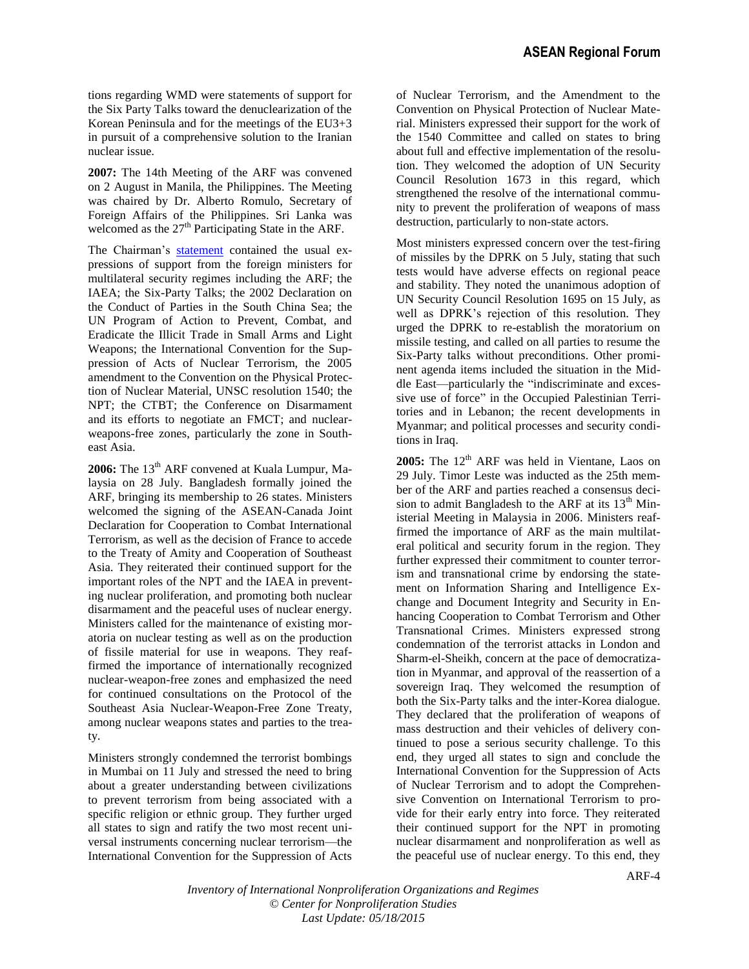tions regarding WMD were statements of support for the Six Party Talks toward the denuclearization of the Korean Peninsula and for the meetings of the EU3+3 in pursuit of a comprehensive solution to the Iranian nuclear issue.

**2007:** The 14th Meeting of the ARF was convened on 2 August in Manila, the Philippines. The Meeting was chaired by Dr. Alberto Romulo, Secretary of Foreign Affairs of the Philippines. Sri Lanka was welcomed as the  $27<sup>th</sup>$  Participating State in the ARF.

The Chairman's [statement](http://www.aseanregionalforum.org/LinkClick.aspx?fileticket=RbahNhjo2E8%3d&tabid=66&mid=940) contained the usual expressions of support from the foreign ministers for multilateral security regimes including the ARF; the IAEA; the Six-Party Talks; the 2002 Declaration on the Conduct of Parties in the South China Sea; the UN Program of Action to Prevent, Combat, and Eradicate the Illicit Trade in Small Arms and Light Weapons; the International Convention for the Suppression of Acts of Nuclear Terrorism, the 2005 amendment to the Convention on the Physical Protection of Nuclear Material, UNSC resolution 1540; the NPT; the CTBT; the Conference on Disarmament and its efforts to negotiate an FMCT; and nuclearweapons-free zones, particularly the zone in Southeast Asia.

2006: The 13<sup>th</sup> ARF convened at Kuala Lumpur, Malaysia on 28 July. Bangladesh formally joined the ARF, bringing its membership to 26 states. Ministers welcomed the signing of the ASEAN-Canada Joint Declaration for Cooperation to Combat International Terrorism, as well as the decision of France to accede to the Treaty of Amity and Cooperation of Southeast Asia. They reiterated their continued support for the important roles of the NPT and the IAEA in preventing nuclear proliferation, and promoting both nuclear disarmament and the peaceful uses of nuclear energy. Ministers called for the maintenance of existing moratoria on nuclear testing as well as on the production of fissile material for use in weapons. They reaffirmed the importance of internationally recognized nuclear-weapon-free zones and emphasized the need for continued consultations on the Protocol of the Southeast Asia Nuclear-Weapon-Free Zone Treaty, among nuclear weapons states and parties to the treaty.

Ministers strongly condemned the terrorist bombings in Mumbai on 11 July and stressed the need to bring about a greater understanding between civilizations to prevent terrorism from being associated with a specific religion or ethnic group. They further urged all states to sign and ratify the two most recent universal instruments concerning nuclear terrorism—the International Convention for the Suppression of Acts of Nuclear Terrorism, and the Amendment to the Convention on Physical Protection of Nuclear Material. Ministers expressed their support for the work of the 1540 Committee and called on states to bring about full and effective implementation of the resolution. They welcomed the adoption of UN Security Council Resolution 1673 in this regard, which strengthened the resolve of the international community to prevent the proliferation of weapons of mass destruction, particularly to non-state actors.

Most ministers expressed concern over the test-firing of missiles by the DPRK on 5 July, stating that such tests would have adverse effects on regional peace and stability. They noted the unanimous adoption of UN Security Council Resolution 1695 on 15 July, as well as DPRK's rejection of this resolution. They urged the DPRK to re-establish the moratorium on missile testing, and called on all parties to resume the Six-Party talks without preconditions. Other prominent agenda items included the situation in the Middle East—particularly the "indiscriminate and excessive use of force" in the Occupied Palestinian Territories and in Lebanon; the recent developments in Myanmar; and political processes and security conditions in Iraq.

**2005:** The 12<sup>th</sup> ARF was held in Vientane, Laos on 29 July. Timor Leste was inducted as the 25th member of the ARF and parties reached a consensus decision to admit Bangladesh to the ARF at its  $13<sup>th</sup>$  Ministerial Meeting in Malaysia in 2006. Ministers reaffirmed the importance of ARF as the main multilateral political and security forum in the region. They further expressed their commitment to counter terrorism and transnational crime by endorsing the statement on Information Sharing and Intelligence Exchange and Document Integrity and Security in Enhancing Cooperation to Combat Terrorism and Other Transnational Crimes. Ministers expressed strong condemnation of the terrorist attacks in London and Sharm-el-Sheikh, concern at the pace of democratization in Myanmar, and approval of the reassertion of a sovereign Iraq. They welcomed the resumption of both the Six-Party talks and the inter-Korea dialogue. They declared that the proliferation of weapons of mass destruction and their vehicles of delivery continued to pose a serious security challenge. To this end, they urged all states to sign and conclude the International Convention for the Suppression of Acts of Nuclear Terrorism and to adopt the Comprehensive Convention on International Terrorism to provide for their early entry into force. They reiterated their continued support for the NPT in promoting nuclear disarmament and nonproliferation as well as the peaceful use of nuclear energy. To this end, they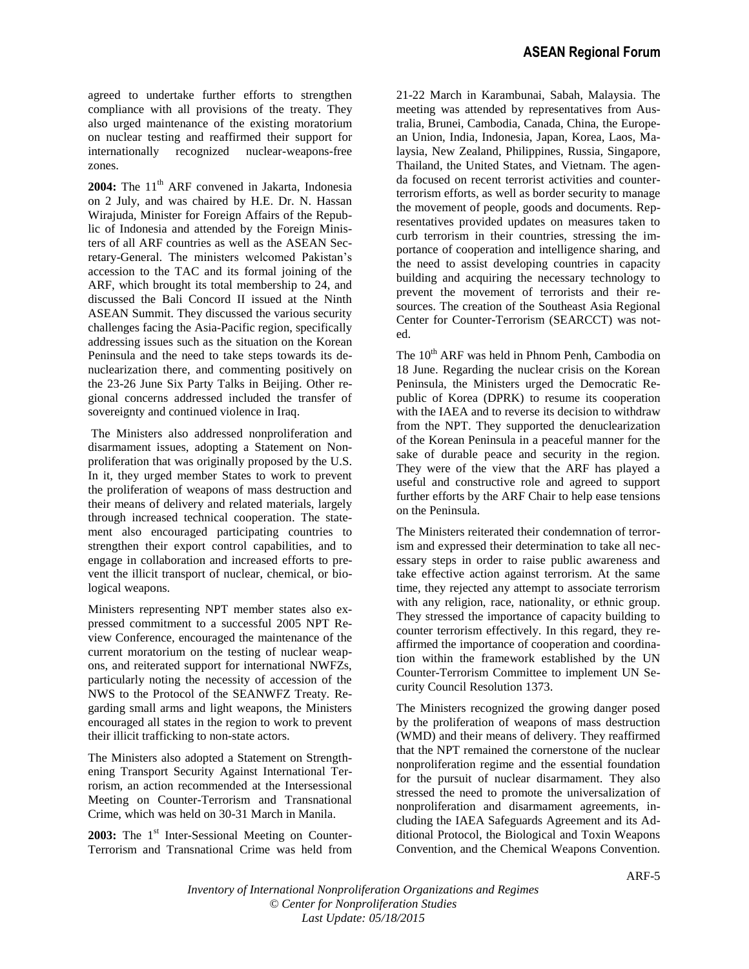agreed to undertake further efforts to strengthen compliance with all provisions of the treaty. They also urged maintenance of the existing moratorium on nuclear testing and reaffirmed their support for internationally recognized nuclear-weapons-free zones.

2004: The 11<sup>th</sup> ARF convened in Jakarta, Indonesia on 2 July, and was chaired by H.E. Dr. N. Hassan Wirajuda, Minister for Foreign Affairs of the Republic of Indonesia and attended by the Foreign Ministers of all ARF countries as well as the ASEAN Secretary-General. The ministers welcomed Pakistan's accession to the TAC and its formal joining of the ARF, which brought its total membership to 24, and discussed the Bali Concord II issued at the Ninth ASEAN Summit. They discussed the various security challenges facing the Asia-Pacific region, specifically addressing issues such as the situation on the Korean Peninsula and the need to take steps towards its denuclearization there, and commenting positively on the 23-26 June Six Party Talks in Beijing. Other regional concerns addressed included the transfer of sovereignty and continued violence in Iraq.

The Ministers also addressed nonproliferation and disarmament issues, adopting a Statement on Nonproliferation that was originally proposed by the U.S. In it, they urged member States to work to prevent the proliferation of weapons of mass destruction and their means of delivery and related materials, largely through increased technical cooperation. The statement also encouraged participating countries to strengthen their export control capabilities, and to engage in collaboration and increased efforts to prevent the illicit transport of nuclear, chemical, or biological weapons.

Ministers representing NPT member states also expressed commitment to a successful 2005 NPT Review Conference, encouraged the maintenance of the current moratorium on the testing of nuclear weapons, and reiterated support for international NWFZs, particularly noting the necessity of accession of the NWS to the Protocol of the SEANWFZ Treaty. Regarding small arms and light weapons, the Ministers encouraged all states in the region to work to prevent their illicit trafficking to non-state actors.

The Ministers also adopted a Statement on Strengthening Transport Security Against International Terrorism, an action recommended at the Intersessional Meeting on Counter-Terrorism and Transnational Crime, which was held on 30-31 March in Manila.

2003: The 1<sup>st</sup> Inter-Sessional Meeting on Counter-Terrorism and Transnational Crime was held from 21-22 March in Karambunai, Sabah, Malaysia. The meeting was attended by representatives from Australia, Brunei, Cambodia, Canada, China, the European Union, India, Indonesia, Japan, Korea, Laos, Malaysia, New Zealand, Philippines, Russia, Singapore, Thailand, the United States, and Vietnam. The agenda focused on recent terrorist activities and counterterrorism efforts, as well as border security to manage the movement of people, goods and documents. Representatives provided updates on measures taken to curb terrorism in their countries, stressing the importance of cooperation and intelligence sharing, and the need to assist developing countries in capacity building and acquiring the necessary technology to prevent the movement of terrorists and their resources. The creation of the Southeast Asia Regional Center for Counter-Terrorism (SEARCCT) was noted.

The 10<sup>th</sup> ARF was held in Phnom Penh, Cambodia on 18 June. Regarding the nuclear crisis on the Korean Peninsula, the Ministers urged the Democratic Republic of Korea (DPRK) to resume its cooperation with the IAEA and to reverse its decision to withdraw from the NPT. They supported the denuclearization of the Korean Peninsula in a peaceful manner for the sake of durable peace and security in the region. They were of the view that the ARF has played a useful and constructive role and agreed to support further efforts by the ARF Chair to help ease tensions on the Peninsula.

The Ministers reiterated their condemnation of terrorism and expressed their determination to take all necessary steps in order to raise public awareness and take effective action against terrorism. At the same time, they rejected any attempt to associate terrorism with any religion, race, nationality, or ethnic group. They stressed the importance of capacity building to counter terrorism effectively. In this regard, they reaffirmed the importance of cooperation and coordination within the framework established by the UN Counter-Terrorism Committee to implement UN Security Council Resolution 1373.

The Ministers recognized the growing danger posed by the proliferation of weapons of mass destruction (WMD) and their means of delivery. They reaffirmed that the NPT remained the cornerstone of the nuclear nonproliferation regime and the essential foundation for the pursuit of nuclear disarmament. They also stressed the need to promote the universalization of nonproliferation and disarmament agreements, including the IAEA Safeguards Agreement and its Additional Protocol, the Biological and Toxin Weapons Convention, and the Chemical Weapons Convention.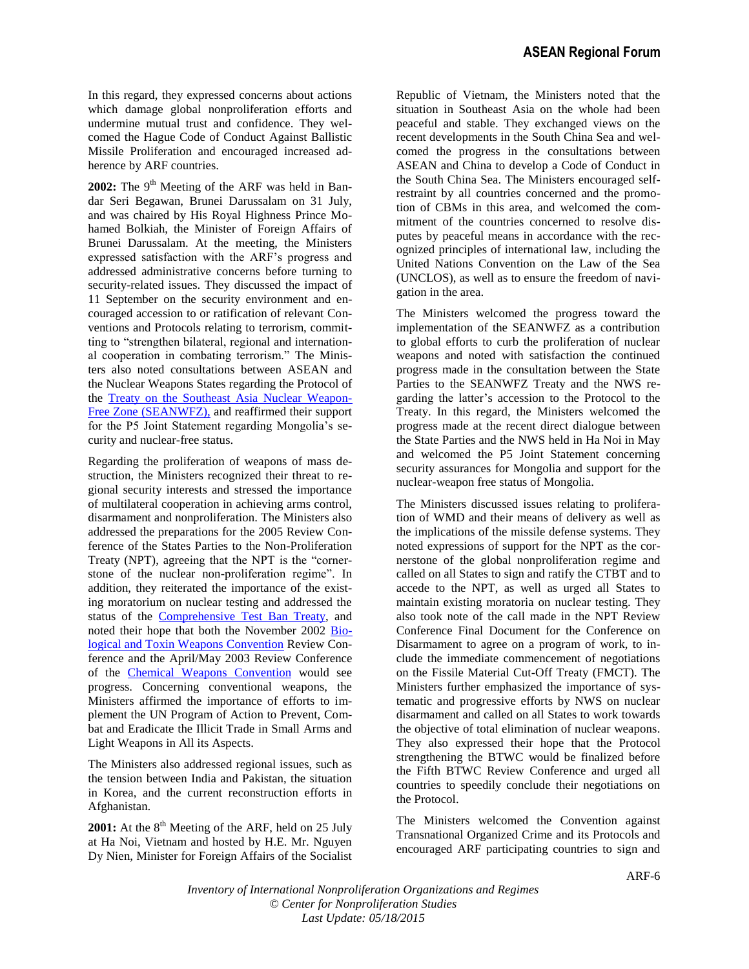In this regard, they expressed concerns about actions which damage global nonproliferation efforts and undermine mutual trust and confidence. They welcomed the Hague Code of Conduct Against Ballistic Missile Proliferation and encouraged increased adherence by ARF countries.

2002: The 9<sup>th</sup> Meeting of the ARF was held in Bandar Seri Begawan, Brunei Darussalam on 31 July, and was chaired by His Royal Highness Prince Mohamed Bolkiah, the Minister of Foreign Affairs of Brunei Darussalam. At the meeting, the Ministers expressed satisfaction with the ARF's progress and addressed administrative concerns before turning to security-related issues. They discussed the impact of 11 September on the security environment and encouraged accession to or ratification of relevant Conventions and Protocols relating to terrorism, committing to "strengthen bilateral, regional and international cooperation in combating terrorism." The Ministers also noted consultations between ASEAN and the Nuclear Weapons States regarding the Protocol of the [Treaty on the Southeast Asia Nuclear Weapon-](seanwfz.pdf)[Free Zone \(SEANWFZ\),](seanwfz.pdf) and reaffirmed their support for the P5 Joint Statement regarding Mongolia's security and nuclear-free status.

Regarding the proliferation of weapons of mass destruction, the Ministers recognized their threat to regional security interests and stressed the importance of multilateral cooperation in achieving arms control, disarmament and nonproliferation. The Ministers also addressed the preparations for the 2005 Review Conference of the States Parties to the Non-Proliferation Treaty (NPT), agreeing that the NPT is the "cornerstone of the nuclear non-proliferation regime". In addition, they reiterated the importance of the existing moratorium on nuclear testing and addressed the status of the [Comprehensive Test Ban Treaty,](ctbt.pdf) and noted their hope that both the November 2002 [Bio](btwc.pdf)[logical and Toxin Weapons Convention](btwc.pdf) Review Conference and the April/May 2003 Review Conference of the [Chemical Weapons Convention](cwc.pdf) would see progress. Concerning conventional weapons, the Ministers affirmed the importance of efforts to implement the UN Program of Action to Prevent, Combat and Eradicate the Illicit Trade in Small Arms and Light Weapons in All its Aspects.

The Ministers also addressed regional issues, such as the tension between India and Pakistan, the situation in Korea, and the current reconstruction efforts in Afghanistan.

**2001:** At the  $8<sup>th</sup>$  Meeting of the ARF, held on 25 July at Ha Noi, Vietnam and hosted by H.E. Mr. Nguyen Dy Nien, Minister for Foreign Affairs of the Socialist

Republic of Vietnam, the Ministers noted that the situation in Southeast Asia on the whole had been peaceful and stable. They exchanged views on the recent developments in the South China Sea and welcomed the progress in the consultations between ASEAN and China to develop a Code of Conduct in the South China Sea. The Ministers encouraged selfrestraint by all countries concerned and the promotion of CBMs in this area, and welcomed the commitment of the countries concerned to resolve disputes by peaceful means in accordance with the recognized principles of international law, including the United Nations Convention on the Law of the Sea (UNCLOS), as well as to ensure the freedom of navigation in the area.

The Ministers welcomed the progress toward the implementation of the SEANWFZ as a contribution to global efforts to curb the proliferation of nuclear weapons and noted with satisfaction the continued progress made in the consultation between the State Parties to the SEANWFZ Treaty and the NWS regarding the latter's accession to the Protocol to the Treaty. In this regard, the Ministers welcomed the progress made at the recent direct dialogue between the State Parties and the NWS held in Ha Noi in May and welcomed the P5 Joint Statement concerning security assurances for Mongolia and support for the nuclear-weapon free status of Mongolia.

The Ministers discussed issues relating to proliferation of WMD and their means of delivery as well as the implications of the missile defense systems. They noted expressions of support for the NPT as the cornerstone of the global nonproliferation regime and called on all States to sign and ratify the CTBT and to accede to the NPT, as well as urged all States to maintain existing moratoria on nuclear testing. They also took note of the call made in the NPT Review Conference Final Document for the Conference on Disarmament to agree on a program of work, to include the immediate commencement of negotiations on the Fissile Material Cut-Off Treaty (FMCT). The Ministers further emphasized the importance of systematic and progressive efforts by NWS on nuclear disarmament and called on all States to work towards the objective of total elimination of nuclear weapons. They also expressed their hope that the Protocol strengthening the BTWC would be finalized before the Fifth BTWC Review Conference and urged all countries to speedily conclude their negotiations on the Protocol.

The Ministers welcomed the Convention against Transnational Organized Crime and its Protocols and encouraged ARF participating countries to sign and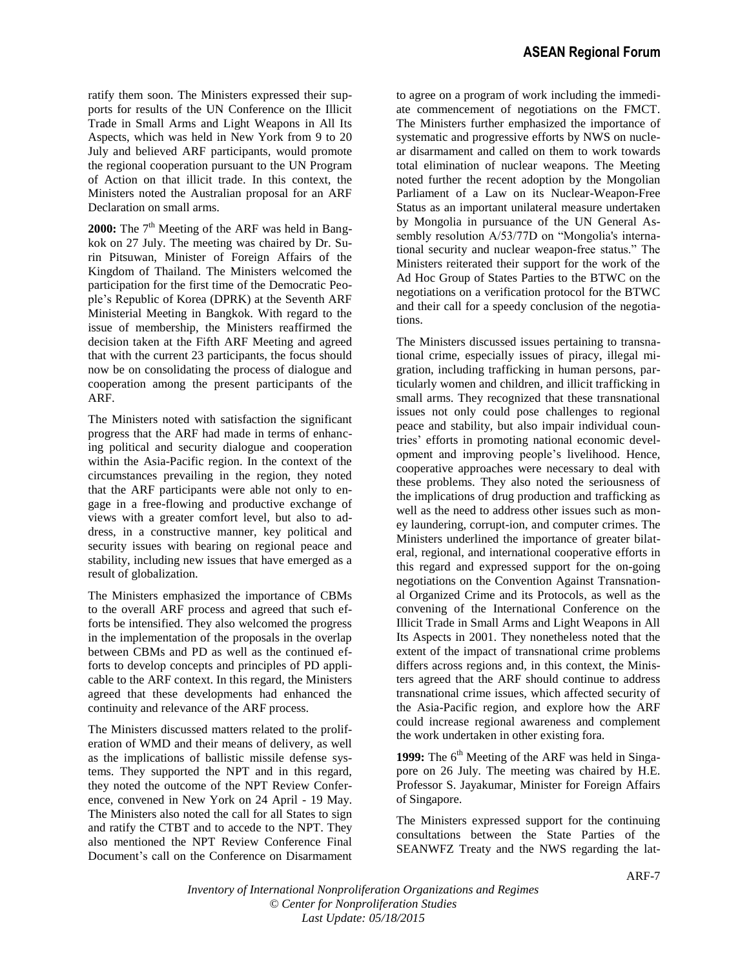ratify them soon. The Ministers expressed their supports for results of the UN Conference on the Illicit Trade in Small Arms and Light Weapons in All Its Aspects, which was held in New York from 9 to 20 July and believed ARF participants, would promote the regional cooperation pursuant to the UN Program of Action on that illicit trade. In this context, the Ministers noted the Australian proposal for an ARF Declaration on small arms.

2000: The 7<sup>th</sup> Meeting of the ARF was held in Bangkok on 27 July. The meeting was chaired by Dr. Surin Pitsuwan, Minister of Foreign Affairs of the Kingdom of Thailand. The Ministers welcomed the participation for the first time of the Democratic People's Republic of Korea (DPRK) at the Seventh ARF Ministerial Meeting in Bangkok. With regard to the issue of membership, the Ministers reaffirmed the decision taken at the Fifth ARF Meeting and agreed that with the current 23 participants, the focus should now be on consolidating the process of dialogue and cooperation among the present participants of the ARF.

The Ministers noted with satisfaction the significant progress that the ARF had made in terms of enhancing political and security dialogue and cooperation within the Asia-Pacific region. In the context of the circumstances prevailing in the region, they noted that the ARF participants were able not only to engage in a free-flowing and productive exchange of views with a greater comfort level, but also to address, in a constructive manner, key political and security issues with bearing on regional peace and stability, including new issues that have emerged as a result of globalization.

The Ministers emphasized the importance of CBMs to the overall ARF process and agreed that such efforts be intensified. They also welcomed the progress in the implementation of the proposals in the overlap between CBMs and PD as well as the continued efforts to develop concepts and principles of PD applicable to the ARF context. In this regard, the Ministers agreed that these developments had enhanced the continuity and relevance of the ARF process.

The Ministers discussed matters related to the proliferation of WMD and their means of delivery, as well as the implications of ballistic missile defense systems. They supported the NPT and in this regard, they noted the outcome of the NPT Review Conference, convened in New York on 24 April - 19 May. The Ministers also noted the call for all States to sign and ratify the CTBT and to accede to the NPT. They also mentioned the NPT Review Conference Final Document's call on the Conference on Disarmament to agree on a program of work including the immediate commencement of negotiations on the FMCT. The Ministers further emphasized the importance of systematic and progressive efforts by NWS on nuclear disarmament and called on them to work towards total elimination of nuclear weapons. The Meeting noted further the recent adoption by the Mongolian Parliament of a Law on its Nuclear-Weapon-Free Status as an important unilateral measure undertaken by Mongolia in pursuance of the UN General Assembly resolution A/53/77D on "Mongolia's international security and nuclear weapon-free status." The Ministers reiterated their support for the work of the Ad Hoc Group of States Parties to the BTWC on the negotiations on a verification protocol for the BTWC and their call for a speedy conclusion of the negotiations.

The Ministers discussed issues pertaining to transnational crime, especially issues of piracy, illegal migration, including trafficking in human persons, particularly women and children, and illicit trafficking in small arms. They recognized that these transnational issues not only could pose challenges to regional peace and stability, but also impair individual countries' efforts in promoting national economic development and improving people's livelihood. Hence, cooperative approaches were necessary to deal with these problems. They also noted the seriousness of the implications of drug production and trafficking as well as the need to address other issues such as money laundering, corrupt-ion, and computer crimes. The Ministers underlined the importance of greater bilateral, regional, and international cooperative efforts in this regard and expressed support for the on-going negotiations on the Convention Against Transnational Organized Crime and its Protocols, as well as the convening of the International Conference on the Illicit Trade in Small Arms and Light Weapons in All Its Aspects in 2001. They nonetheless noted that the extent of the impact of transnational crime problems differs across regions and, in this context, the Ministers agreed that the ARF should continue to address transnational crime issues, which affected security of the Asia-Pacific region, and explore how the ARF could increase regional awareness and complement the work undertaken in other existing fora.

1999: The 6<sup>th</sup> Meeting of the ARF was held in Singapore on 26 July. The meeting was chaired by H.E. Professor S. Jayakumar, Minister for Foreign Affairs of Singapore.

The Ministers expressed support for the continuing consultations between the State Parties of the SEANWFZ Treaty and the NWS regarding the lat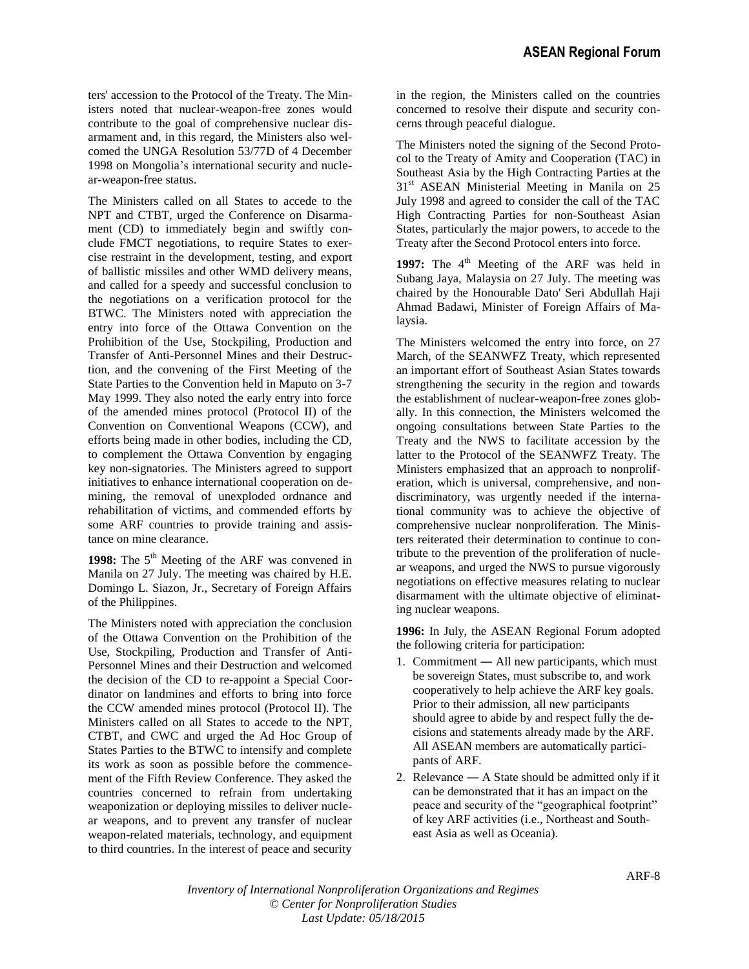ters' accession to the Protocol of the Treaty. The Ministers noted that nuclear-weapon-free zones would contribute to the goal of comprehensive nuclear disarmament and, in this regard, the Ministers also welcomed the UNGA Resolution 53/77D of 4 December 1998 on Mongolia's international security and nuclear-weapon-free status.

The Ministers called on all States to accede to the NPT and CTBT, urged the Conference on Disarmament (CD) to immediately begin and swiftly conclude FMCT negotiations, to require States to exercise restraint in the development, testing, and export of ballistic missiles and other WMD delivery means, and called for a speedy and successful conclusion to the negotiations on a verification protocol for the BTWC. The Ministers noted with appreciation the entry into force of the Ottawa Convention on the Prohibition of the Use, Stockpiling, Production and Transfer of Anti-Personnel Mines and their Destruction, and the convening of the First Meeting of the State Parties to the Convention held in Maputo on 3-7 May 1999. They also noted the early entry into force of the amended mines protocol (Protocol II) of the Convention on Conventional Weapons (CCW), and efforts being made in other bodies, including the CD, to complement the Ottawa Convention by engaging key non-signatories. The Ministers agreed to support initiatives to enhance international cooperation on demining, the removal of unexploded ordnance and rehabilitation of victims, and commended efforts by some ARF countries to provide training and assistance on mine clearance.

1998: The 5<sup>th</sup> Meeting of the ARF was convened in Manila on 27 July. The meeting was chaired by H.E. Domingo L. Siazon, Jr., Secretary of Foreign Affairs of the Philippines.

The Ministers noted with appreciation the conclusion of the Ottawa Convention on the Prohibition of the Use, Stockpiling, Production and Transfer of Anti-Personnel Mines and their Destruction and welcomed the decision of the CD to re-appoint a Special Coordinator on landmines and efforts to bring into force the CCW amended mines protocol (Protocol II). The Ministers called on all States to accede to the NPT, CTBT, and CWC and urged the Ad Hoc Group of States Parties to the BTWC to intensify and complete its work as soon as possible before the commencement of the Fifth Review Conference. They asked the countries concerned to refrain from undertaking weaponization or deploying missiles to deliver nuclear weapons, and to prevent any transfer of nuclear weapon-related materials, technology, and equipment to third countries. In the interest of peace and security

in the region, the Ministers called on the countries concerned to resolve their dispute and security concerns through peaceful dialogue.

The Ministers noted the signing of the Second Protocol to the Treaty of Amity and Cooperation (TAC) in Southeast Asia by the High Contracting Parties at the 31<sup>st</sup> ASEAN Ministerial Meeting in Manila on 25 July 1998 and agreed to consider the call of the TAC High Contracting Parties for non-Southeast Asian States, particularly the major powers, to accede to the Treaty after the Second Protocol enters into force.

1997: The 4<sup>th</sup> Meeting of the ARF was held in Subang Jaya, Malaysia on 27 July. The meeting was chaired by the Honourable Dato' Seri Abdullah Haji Ahmad Badawi, Minister of Foreign Affairs of Malaysia.

The Ministers welcomed the entry into force, on 27 March, of the SEANWFZ Treaty, which represented an important effort of Southeast Asian States towards strengthening the security in the region and towards the establishment of nuclear-weapon-free zones globally. In this connection, the Ministers welcomed the ongoing consultations between State Parties to the Treaty and the NWS to facilitate accession by the latter to the Protocol of the SEANWFZ Treaty. The Ministers emphasized that an approach to nonproliferation, which is universal, comprehensive, and nondiscriminatory, was urgently needed if the international community was to achieve the objective of comprehensive nuclear nonproliferation. The Ministers reiterated their determination to continue to contribute to the prevention of the proliferation of nuclear weapons, and urged the NWS to pursue vigorously negotiations on effective measures relating to nuclear disarmament with the ultimate objective of eliminating nuclear weapons.

**1996:** In July, the ASEAN Regional Forum adopted the following criteria for participation:

- 1. Commitment ― All new participants, which must be sovereign States, must subscribe to, and work cooperatively to help achieve the ARF key goals. Prior to their admission, all new participants should agree to abide by and respect fully the decisions and statements already made by the ARF. All ASEAN members are automatically participants of ARF.
- 2. Relevance ― A State should be admitted only if it can be demonstrated that it has an impact on the peace and security of the "geographical footprint" of key ARF activities (i.e., Northeast and Southeast Asia as well as Oceania).